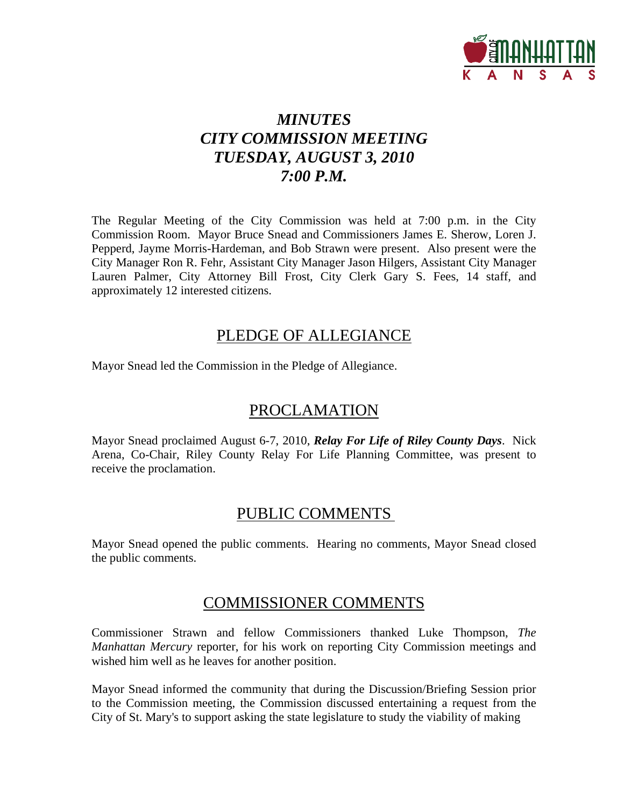

# *MINUTES CITY COMMISSION MEETING TUESDAY, AUGUST 3, 2010 7:00 P.M.*

The Regular Meeting of the City Commission was held at 7:00 p.m. in the City Commission Room. Mayor Bruce Snead and Commissioners James E. Sherow, Loren J. Pepperd, Jayme Morris-Hardeman, and Bob Strawn were present. Also present were the City Manager Ron R. Fehr, Assistant City Manager Jason Hilgers, Assistant City Manager Lauren Palmer, City Attorney Bill Frost, City Clerk Gary S. Fees, 14 staff, and approximately 12 interested citizens.

### PLEDGE OF ALLEGIANCE

Mayor Snead led the Commission in the Pledge of Allegiance.

## PROCLAMATION

Mayor Snead proclaimed August 6-7, 2010, *Relay For Life of Riley County Days*. Nick Arena, Co-Chair, Riley County Relay For Life Planning Committee, was present to receive the proclamation.

### PUBLIC COMMENTS

Mayor Snead opened the public comments. Hearing no comments, Mayor Snead closed the public comments.

### COMMISSIONER COMMENTS

Commissioner Strawn and fellow Commissioners thanked Luke Thompson, *The Manhattan Mercury* reporter, for his work on reporting City Commission meetings and wished him well as he leaves for another position.

Mayor Snead informed the community that during the Discussion/Briefing Session prior to the Commission meeting, the Commission discussed entertaining a request from the City of St. Mary's to support asking the state legislature to study the viability of making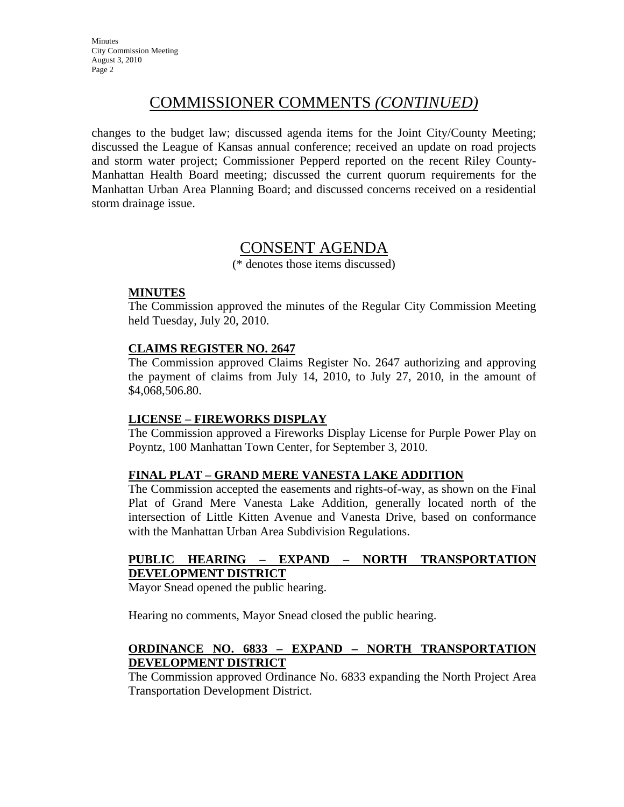## COMMISSIONER COMMENTS *(CONTINUED)*

changes to the budget law; discussed agenda items for the Joint City/County Meeting; discussed the League of Kansas annual conference; received an update on road projects and storm water project; Commissioner Pepperd reported on the recent Riley County-Manhattan Health Board meeting; discussed the current quorum requirements for the Manhattan Urban Area Planning Board; and discussed concerns received on a residential storm drainage issue.

### CONSENT AGENDA

(\* denotes those items discussed)

### **MINUTES**

The Commission approved the minutes of the Regular City Commission Meeting held Tuesday, July 20, 2010.

### **CLAIMS REGISTER NO. 2647**

The Commission approved Claims Register No. 2647 authorizing and approving the payment of claims from July 14, 2010, to July 27, 2010, in the amount of \$4,068,506.80.

### **LICENSE – FIREWORKS DISPLAY**

The Commission approved a Fireworks Display License for Purple Power Play on Poyntz, 100 Manhattan Town Center, for September 3, 2010.

### **FINAL PLAT – GRAND MERE VANESTA LAKE ADDITION**

The Commission accepted the easements and rights-of-way, as shown on the Final Plat of Grand Mere Vanesta Lake Addition, generally located north of the intersection of Little Kitten Avenue and Vanesta Drive, based on conformance with the Manhattan Urban Area Subdivision Regulations.

### **PUBLIC HEARING – EXPAND – NORTH TRANSPORTATION DEVELOPMENT DISTRICT**

Mayor Snead opened the public hearing.

Hearing no comments, Mayor Snead closed the public hearing.

### **ORDINANCE NO. 6833 – EXPAND – NORTH TRANSPORTATION DEVELOPMENT DISTRICT**

The Commission approved Ordinance No. 6833 expanding the North Project Area Transportation Development District.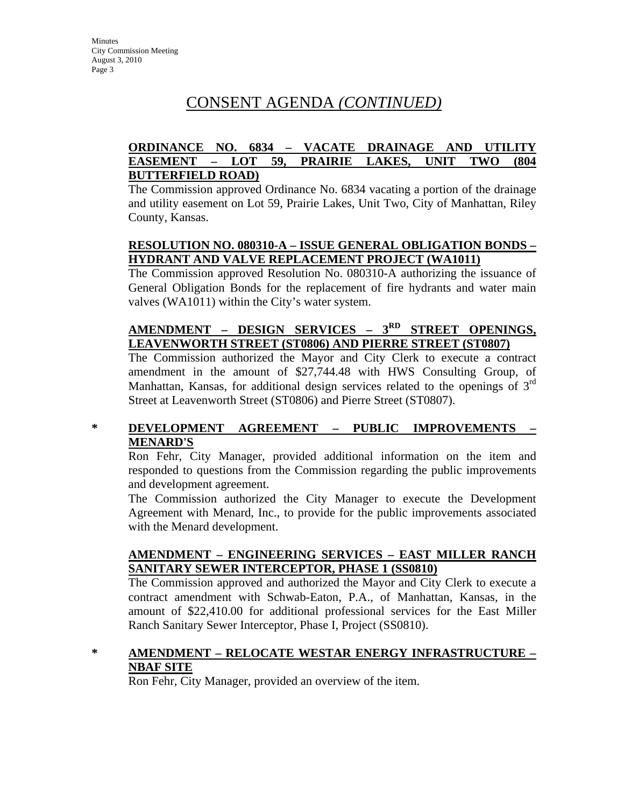# CONSENT AGENDA *(CONTINUED)*

### **ORDINANCE NO. 6834 – VACATE DRAINAGE AND UTILITY EASEMENT – LOT 59, PRAIRIE LAKES, UNIT TWO (804 BUTTERFIELD ROAD)**

The Commission approved Ordinance No. 6834 vacating a portion of the drainage and utility easement on Lot 59, Prairie Lakes, Unit Two, City of Manhattan, Riley County, Kansas.

### **RESOLUTION NO. 080310-A – ISSUE GENERAL OBLIGATION BONDS – HYDRANT AND VALVE REPLACEMENT PROJECT (WA1011)**

The Commission approved Resolution No. 080310-A authorizing the issuance of General Obligation Bonds for the replacement of fire hydrants and water main valves (WA1011) within the City's water system.

### **AMENDMENT – DESIGN SERVICES – 3RD STREET OPENINGS, LEAVENWORTH STREET (ST0806) AND PIERRE STREET (ST0807)**

The Commission authorized the Mayor and City Clerk to execute a contract amendment in the amount of \$27,744.48 with HWS Consulting Group, of Manhattan, Kansas, for additional design services related to the openings of  $3<sup>rd</sup>$ Street at Leavenworth Street (ST0806) and Pierre Street (ST0807).

### **\* DEVELOPMENT AGREEMENT – PUBLIC IMPROVEMENTS – MENARD'S**

Ron Fehr, City Manager, provided additional information on the item and responded to questions from the Commission regarding the public improvements and development agreement.

The Commission authorized the City Manager to execute the Development Agreement with Menard, Inc., to provide for the public improvements associated with the Menard development.

### **AMENDMENT – ENGINEERING SERVICES – EAST MILLER RANCH SANITARY SEWER INTERCEPTOR, PHASE 1 (SS0810)**

The Commission approved and authorized the Mayor and City Clerk to execute a contract amendment with Schwab-Eaton, P.A., of Manhattan, Kansas, in the amount of \$22,410.00 for additional professional services for the East Miller Ranch Sanitary Sewer Interceptor, Phase I, Project (SS0810).

### **\* AMENDMENT – RELOCATE WESTAR ENERGY INFRASTRUCTURE – NBAF SITE**

Ron Fehr, City Manager, provided an overview of the item.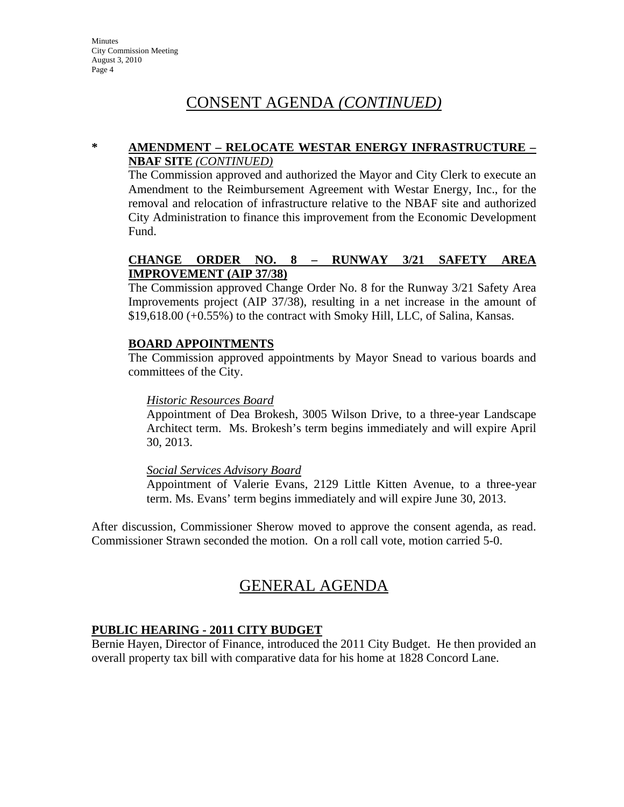# CONSENT AGENDA *(CONTINUED)*

#### **\* AMENDMENT – RELOCATE WESTAR ENERGY INFRASTRUCTURE – NBAF SITE** *(CONTINUED)*

The Commission approved and authorized the Mayor and City Clerk to execute an Amendment to the Reimbursement Agreement with Westar Energy, Inc., for the removal and relocation of infrastructure relative to the NBAF site and authorized City Administration to finance this improvement from the Economic Development Fund.

### **CHANGE ORDER NO. 8 – RUNWAY 3/21 SAFETY AREA IMPROVEMENT (AIP 37/38)**

The Commission approved Change Order No. 8 for the Runway 3/21 Safety Area Improvements project (AIP 37/38), resulting in a net increase in the amount of \$19,618.00 (+0.55%) to the contract with Smoky Hill, LLC, of Salina, Kansas.

### **BOARD APPOINTMENTS**

The Commission approved appointments by Mayor Snead to various boards and committees of the City.

### *Historic Resources Board*

Appointment of Dea Brokesh, 3005 Wilson Drive, to a three-year Landscape Architect term. Ms. Brokesh's term begins immediately and will expire April 30, 2013.

#### *Social Services Advisory Board*

Appointment of Valerie Evans, 2129 Little Kitten Avenue, to a three-year term. Ms. Evans' term begins immediately and will expire June 30, 2013.

After discussion, Commissioner Sherow moved to approve the consent agenda, as read. Commissioner Strawn seconded the motion. On a roll call vote, motion carried 5-0.

### GENERAL AGENDA

### **PUBLIC HEARING - 2011 CITY BUDGET**

Bernie Hayen, Director of Finance, introduced the 2011 City Budget. He then provided an overall property tax bill with comparative data for his home at 1828 Concord Lane.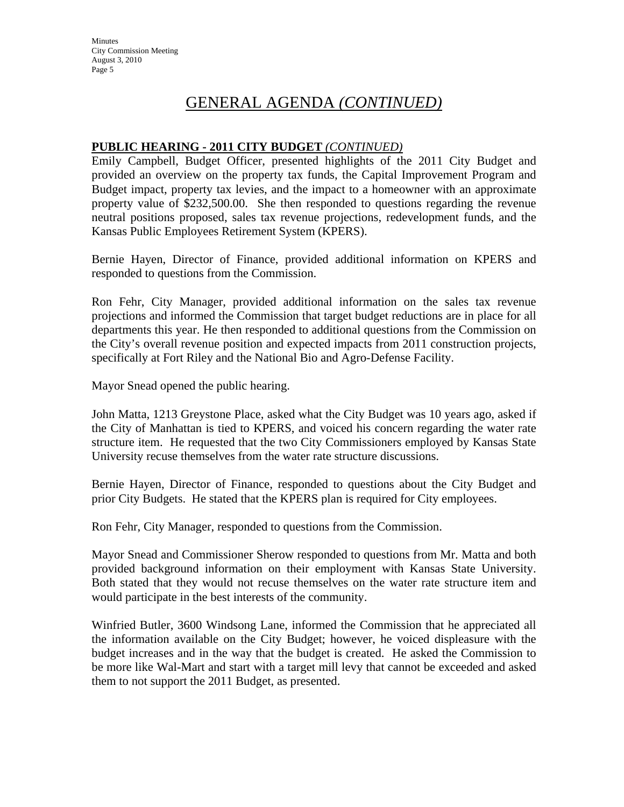### **PUBLIC HEARING - 2011 CITY BUDGET** *(CONTINUED)*

Emily Campbell, Budget Officer, presented highlights of the 2011 City Budget and provided an overview on the property tax funds, the Capital Improvement Program and Budget impact, property tax levies, and the impact to a homeowner with an approximate property value of \$232,500.00. She then responded to questions regarding the revenue neutral positions proposed, sales tax revenue projections, redevelopment funds, and the Kansas Public Employees Retirement System (KPERS).

Bernie Hayen, Director of Finance, provided additional information on KPERS and responded to questions from the Commission.

Ron Fehr, City Manager, provided additional information on the sales tax revenue projections and informed the Commission that target budget reductions are in place for all departments this year. He then responded to additional questions from the Commission on the City's overall revenue position and expected impacts from 2011 construction projects, specifically at Fort Riley and the National Bio and Agro-Defense Facility.

Mayor Snead opened the public hearing.

John Matta, 1213 Greystone Place, asked what the City Budget was 10 years ago, asked if the City of Manhattan is tied to KPERS, and voiced his concern regarding the water rate structure item. He requested that the two City Commissioners employed by Kansas State University recuse themselves from the water rate structure discussions.

Bernie Hayen, Director of Finance, responded to questions about the City Budget and prior City Budgets. He stated that the KPERS plan is required for City employees.

Ron Fehr, City Manager, responded to questions from the Commission.

Mayor Snead and Commissioner Sherow responded to questions from Mr. Matta and both provided background information on their employment with Kansas State University. Both stated that they would not recuse themselves on the water rate structure item and would participate in the best interests of the community.

Winfried Butler, 3600 Windsong Lane, informed the Commission that he appreciated all the information available on the City Budget; however, he voiced displeasure with the budget increases and in the way that the budget is created. He asked the Commission to be more like Wal-Mart and start with a target mill levy that cannot be exceeded and asked them to not support the 2011 Budget, as presented.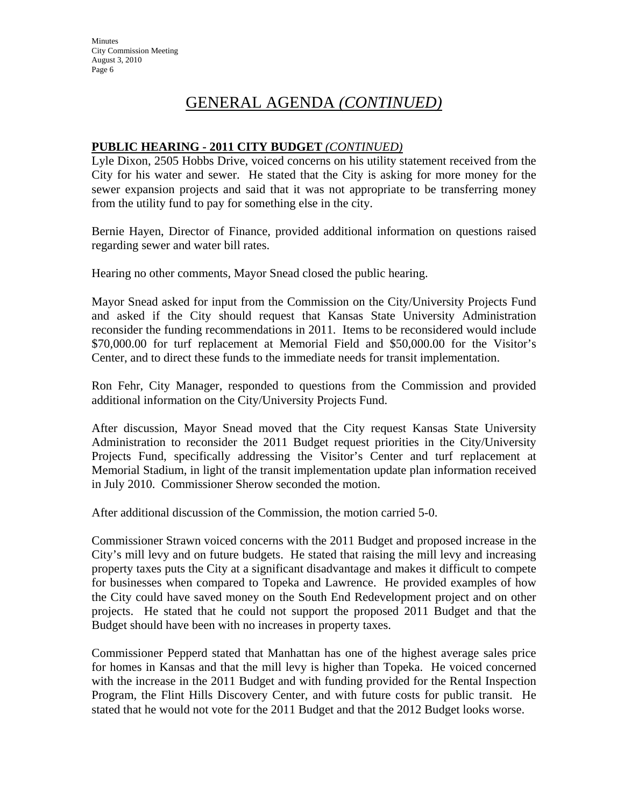### **PUBLIC HEARING - 2011 CITY BUDGET** *(CONTINUED)*

Lyle Dixon, 2505 Hobbs Drive, voiced concerns on his utility statement received from the City for his water and sewer. He stated that the City is asking for more money for the sewer expansion projects and said that it was not appropriate to be transferring money from the utility fund to pay for something else in the city.

Bernie Hayen, Director of Finance, provided additional information on questions raised regarding sewer and water bill rates.

Hearing no other comments, Mayor Snead closed the public hearing.

Mayor Snead asked for input from the Commission on the City/University Projects Fund and asked if the City should request that Kansas State University Administration reconsider the funding recommendations in 2011. Items to be reconsidered would include \$70,000.00 for turf replacement at Memorial Field and \$50,000.00 for the Visitor's Center, and to direct these funds to the immediate needs for transit implementation.

Ron Fehr, City Manager, responded to questions from the Commission and provided additional information on the City/University Projects Fund.

After discussion, Mayor Snead moved that the City request Kansas State University Administration to reconsider the 2011 Budget request priorities in the City/University Projects Fund, specifically addressing the Visitor's Center and turf replacement at Memorial Stadium, in light of the transit implementation update plan information received in July 2010. Commissioner Sherow seconded the motion.

After additional discussion of the Commission, the motion carried 5-0.

Commissioner Strawn voiced concerns with the 2011 Budget and proposed increase in the City's mill levy and on future budgets. He stated that raising the mill levy and increasing property taxes puts the City at a significant disadvantage and makes it difficult to compete for businesses when compared to Topeka and Lawrence. He provided examples of how the City could have saved money on the South End Redevelopment project and on other projects. He stated that he could not support the proposed 2011 Budget and that the Budget should have been with no increases in property taxes.

Commissioner Pepperd stated that Manhattan has one of the highest average sales price for homes in Kansas and that the mill levy is higher than Topeka. He voiced concerned with the increase in the 2011 Budget and with funding provided for the Rental Inspection Program, the Flint Hills Discovery Center, and with future costs for public transit. He stated that he would not vote for the 2011 Budget and that the 2012 Budget looks worse.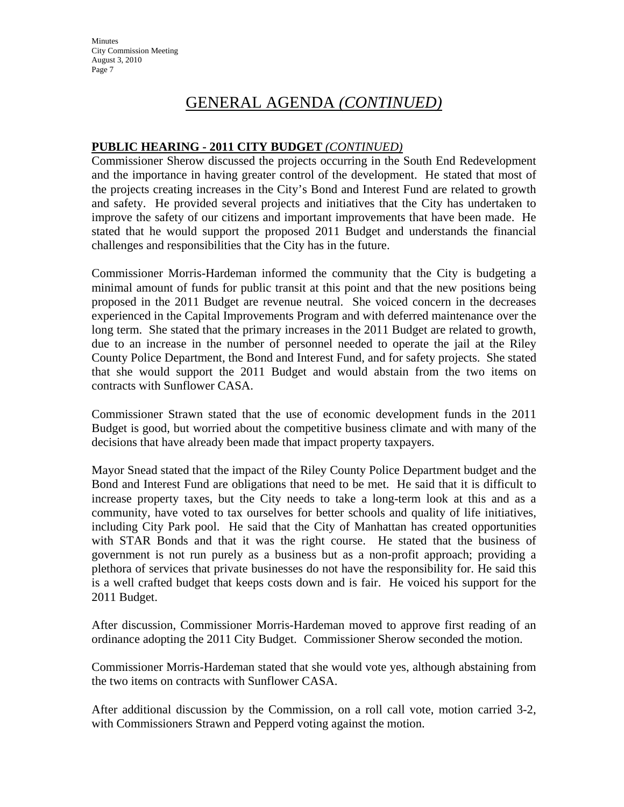**Minutes** City Commission Meeting August 3, 2010 Page 7

## GENERAL AGENDA *(CONTINUED)*

### **PUBLIC HEARING - 2011 CITY BUDGET** *(CONTINUED)*

Commissioner Sherow discussed the projects occurring in the South End Redevelopment and the importance in having greater control of the development. He stated that most of the projects creating increases in the City's Bond and Interest Fund are related to growth and safety. He provided several projects and initiatives that the City has undertaken to improve the safety of our citizens and important improvements that have been made. He stated that he would support the proposed 2011 Budget and understands the financial challenges and responsibilities that the City has in the future.

Commissioner Morris-Hardeman informed the community that the City is budgeting a minimal amount of funds for public transit at this point and that the new positions being proposed in the 2011 Budget are revenue neutral. She voiced concern in the decreases experienced in the Capital Improvements Program and with deferred maintenance over the long term. She stated that the primary increases in the 2011 Budget are related to growth, due to an increase in the number of personnel needed to operate the jail at the Riley County Police Department, the Bond and Interest Fund, and for safety projects. She stated that she would support the 2011 Budget and would abstain from the two items on contracts with Sunflower CASA.

Commissioner Strawn stated that the use of economic development funds in the 2011 Budget is good, but worried about the competitive business climate and with many of the decisions that have already been made that impact property taxpayers.

Mayor Snead stated that the impact of the Riley County Police Department budget and the Bond and Interest Fund are obligations that need to be met. He said that it is difficult to increase property taxes, but the City needs to take a long-term look at this and as a community, have voted to tax ourselves for better schools and quality of life initiatives, including City Park pool. He said that the City of Manhattan has created opportunities with STAR Bonds and that it was the right course. He stated that the business of government is not run purely as a business but as a non-profit approach; providing a plethora of services that private businesses do not have the responsibility for. He said this is a well crafted budget that keeps costs down and is fair. He voiced his support for the 2011 Budget.

After discussion, Commissioner Morris-Hardeman moved to approve first reading of an ordinance adopting the 2011 City Budget. Commissioner Sherow seconded the motion.

Commissioner Morris-Hardeman stated that she would vote yes, although abstaining from the two items on contracts with Sunflower CASA.

After additional discussion by the Commission, on a roll call vote, motion carried 3-2, with Commissioners Strawn and Pepperd voting against the motion.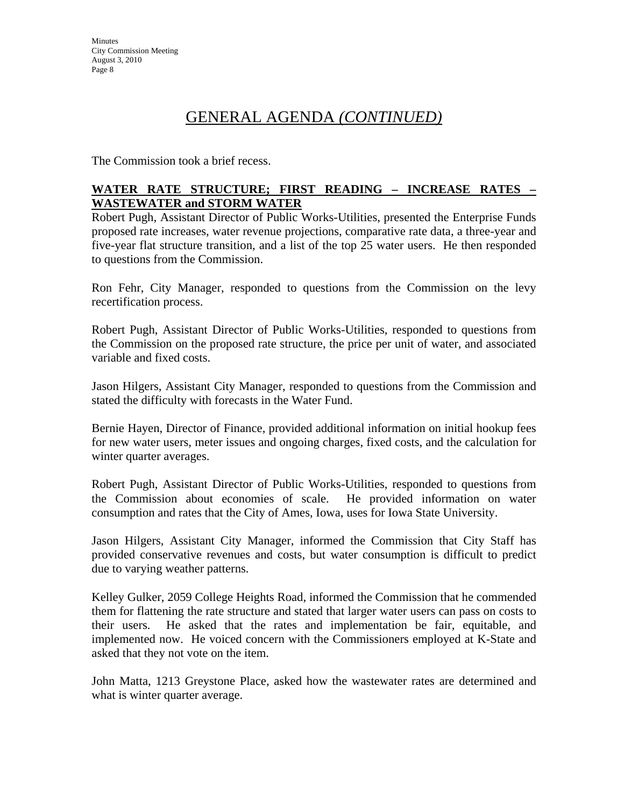The Commission took a brief recess.

### **WATER RATE STRUCTURE; FIRST READING – INCREASE RATES – WASTEWATER and STORM WATER**

Robert Pugh, Assistant Director of Public Works-Utilities, presented the Enterprise Funds proposed rate increases, water revenue projections, comparative rate data, a three-year and five-year flat structure transition, and a list of the top 25 water users. He then responded to questions from the Commission.

Ron Fehr, City Manager, responded to questions from the Commission on the levy recertification process.

Robert Pugh, Assistant Director of Public Works-Utilities, responded to questions from the Commission on the proposed rate structure, the price per unit of water, and associated variable and fixed costs.

Jason Hilgers, Assistant City Manager, responded to questions from the Commission and stated the difficulty with forecasts in the Water Fund.

Bernie Hayen, Director of Finance, provided additional information on initial hookup fees for new water users, meter issues and ongoing charges, fixed costs, and the calculation for winter quarter averages.

Robert Pugh, Assistant Director of Public Works-Utilities, responded to questions from the Commission about economies of scale. He provided information on water consumption and rates that the City of Ames, Iowa, uses for Iowa State University.

Jason Hilgers, Assistant City Manager, informed the Commission that City Staff has provided conservative revenues and costs, but water consumption is difficult to predict due to varying weather patterns.

Kelley Gulker, 2059 College Heights Road, informed the Commission that he commended them for flattening the rate structure and stated that larger water users can pass on costs to their users. He asked that the rates and implementation be fair, equitable, and implemented now. He voiced concern with the Commissioners employed at K-State and asked that they not vote on the item.

John Matta, 1213 Greystone Place, asked how the wastewater rates are determined and what is winter quarter average.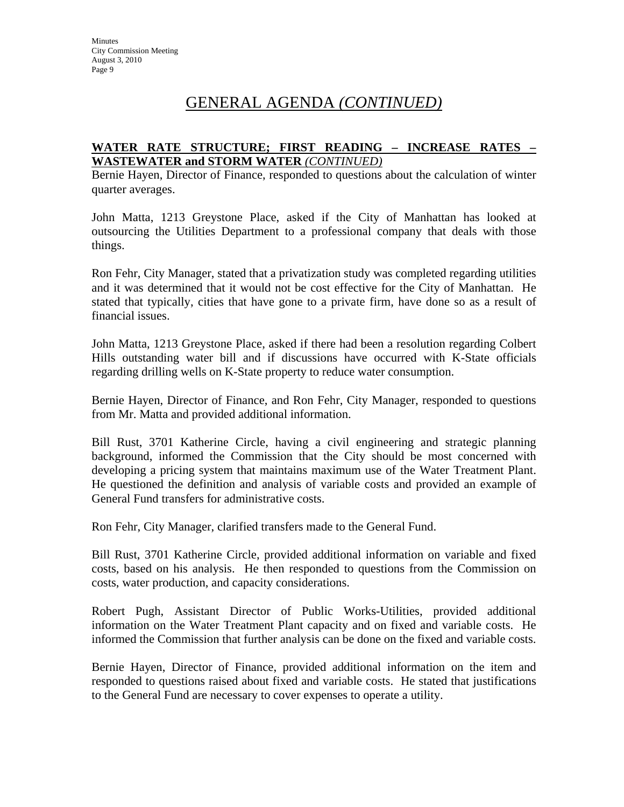### **WATER RATE STRUCTURE; FIRST READING – INCREASE RATES – WASTEWATER and STORM WATER** *(CONTINUED)*

Bernie Hayen, Director of Finance, responded to questions about the calculation of winter quarter averages.

John Matta, 1213 Greystone Place, asked if the City of Manhattan has looked at outsourcing the Utilities Department to a professional company that deals with those things.

Ron Fehr, City Manager, stated that a privatization study was completed regarding utilities and it was determined that it would not be cost effective for the City of Manhattan. He stated that typically, cities that have gone to a private firm, have done so as a result of financial issues.

John Matta, 1213 Greystone Place, asked if there had been a resolution regarding Colbert Hills outstanding water bill and if discussions have occurred with K-State officials regarding drilling wells on K-State property to reduce water consumption.

Bernie Hayen, Director of Finance, and Ron Fehr, City Manager, responded to questions from Mr. Matta and provided additional information.

Bill Rust, 3701 Katherine Circle, having a civil engineering and strategic planning background, informed the Commission that the City should be most concerned with developing a pricing system that maintains maximum use of the Water Treatment Plant. He questioned the definition and analysis of variable costs and provided an example of General Fund transfers for administrative costs.

Ron Fehr, City Manager, clarified transfers made to the General Fund.

Bill Rust, 3701 Katherine Circle, provided additional information on variable and fixed costs, based on his analysis. He then responded to questions from the Commission on costs, water production, and capacity considerations.

Robert Pugh, Assistant Director of Public Works-Utilities, provided additional information on the Water Treatment Plant capacity and on fixed and variable costs. He informed the Commission that further analysis can be done on the fixed and variable costs.

Bernie Hayen, Director of Finance, provided additional information on the item and responded to questions raised about fixed and variable costs. He stated that justifications to the General Fund are necessary to cover expenses to operate a utility.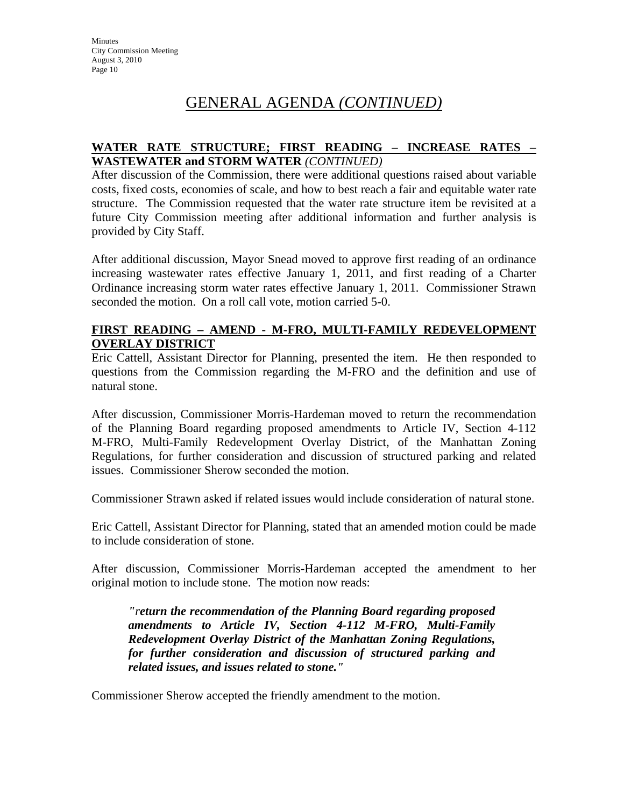### **WATER RATE STRUCTURE; FIRST READING – INCREASE RATES – WASTEWATER and STORM WATER** *(CONTINUED)*

After discussion of the Commission, there were additional questions raised about variable costs, fixed costs, economies of scale, and how to best reach a fair and equitable water rate structure. The Commission requested that the water rate structure item be revisited at a future City Commission meeting after additional information and further analysis is provided by City Staff.

After additional discussion, Mayor Snead moved to approve first reading of an ordinance increasing wastewater rates effective January 1, 2011, and first reading of a Charter Ordinance increasing storm water rates effective January 1, 2011. Commissioner Strawn seconded the motion. On a roll call vote, motion carried 5-0.

### **FIRST READING – AMEND - M-FRO, MULTI-FAMILY REDEVELOPMENT OVERLAY DISTRICT**

Eric Cattell, Assistant Director for Planning, presented the item. He then responded to questions from the Commission regarding the M-FRO and the definition and use of natural stone.

After discussion, Commissioner Morris-Hardeman moved to return the recommendation of the Planning Board regarding proposed amendments to Article IV, Section 4-112 M-FRO, Multi-Family Redevelopment Overlay District, of the Manhattan Zoning Regulations, for further consideration and discussion of structured parking and related issues. Commissioner Sherow seconded the motion.

Commissioner Strawn asked if related issues would include consideration of natural stone.

Eric Cattell, Assistant Director for Planning, stated that an amended motion could be made to include consideration of stone.

After discussion, Commissioner Morris-Hardeman accepted the amendment to her original motion to include stone. The motion now reads:

*"return the recommendation of the Planning Board regarding proposed amendments to Article IV, Section 4-112 M-FRO, Multi-Family Redevelopment Overlay District of the Manhattan Zoning Regulations, for further consideration and discussion of structured parking and related issues, and issues related to stone."* 

Commissioner Sherow accepted the friendly amendment to the motion.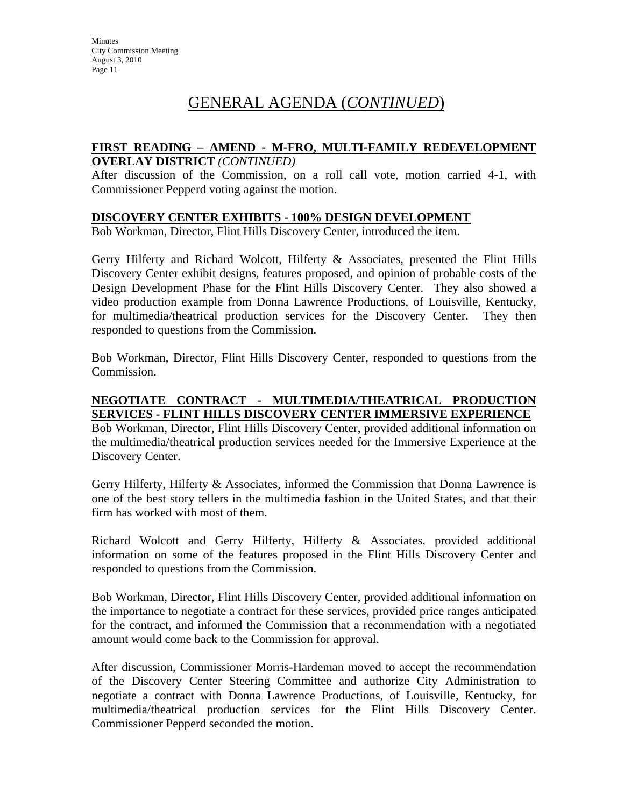### **FIRST READING – AMEND - M-FRO, MULTI-FAMILY REDEVELOPMENT OVERLAY DISTRICT** *(CONTINUED)*

After discussion of the Commission, on a roll call vote, motion carried 4-1, with Commissioner Pepperd voting against the motion.

#### **DISCOVERY CENTER EXHIBITS - 100% DESIGN DEVELOPMENT**

Bob Workman, Director, Flint Hills Discovery Center, introduced the item.

Gerry Hilferty and Richard Wolcott, Hilferty & Associates, presented the Flint Hills Discovery Center exhibit designs, features proposed, and opinion of probable costs of the Design Development Phase for the Flint Hills Discovery Center. They also showed a video production example from Donna Lawrence Productions, of Louisville, Kentucky, for multimedia/theatrical production services for the Discovery Center. They then responded to questions from the Commission.

Bob Workman, Director, Flint Hills Discovery Center, responded to questions from the Commission.

### **NEGOTIATE CONTRACT - MULTIMEDIA/THEATRICAL PRODUCTION SERVICES - FLINT HILLS DISCOVERY CENTER IMMERSIVE EXPERIENCE**

Bob Workman, Director, Flint Hills Discovery Center, provided additional information on the multimedia/theatrical production services needed for the Immersive Experience at the Discovery Center.

Gerry Hilferty, Hilferty & Associates, informed the Commission that Donna Lawrence is one of the best story tellers in the multimedia fashion in the United States, and that their firm has worked with most of them.

Richard Wolcott and Gerry Hilferty, Hilferty & Associates, provided additional information on some of the features proposed in the Flint Hills Discovery Center and responded to questions from the Commission.

Bob Workman, Director, Flint Hills Discovery Center, provided additional information on the importance to negotiate a contract for these services, provided price ranges anticipated for the contract, and informed the Commission that a recommendation with a negotiated amount would come back to the Commission for approval.

After discussion, Commissioner Morris-Hardeman moved to accept the recommendation of the Discovery Center Steering Committee and authorize City Administration to negotiate a contract with Donna Lawrence Productions, of Louisville, Kentucky, for multimedia/theatrical production services for the Flint Hills Discovery Center. Commissioner Pepperd seconded the motion.